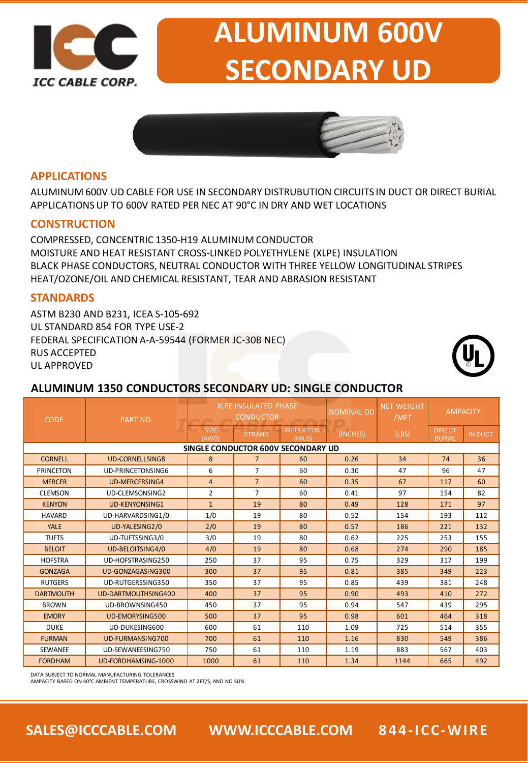

# **ALUMINUM 600V SECONDARY UD**



#### **APPLICATIONS**

ALUMINUM 600V UD CABLE FOR USE IN SECONDARY DISTRUBUTION CIRCUITS IN DUCT OR DIRECT BURIAL APPLICATIONS UP TO 600V RATED PER NEC AT 90°C IN DRY AND WET LOCATIONS

#### **CONSTRUCTION**

COMPRESSED, CONCENTRIC 1350-H19 ALUMINUM CONDUCTOR MOISTURE AND HEAT RESISTANT CROSS-LINKED POLYETHYLENE (XLPE) INSULATION BLACK PHASE CONDUCTORS, NEUTRAL CONDUCTOR WITH THREE YELLOW LONGITUDINAL STRIPES HEAT/OZONE/OIL AND CHEMICAL RESISTANT, TEAR AND ABRASION RESISTANT

#### **STANDARDS**

ASTM B230 AND B231, ICEA S-105-692 UL STANDARD 854 FOR TYPE USE-2 FEDERAL SPECIFICATION A-A-59544 (FORMER JC-30B NEC) RUS ACCEPTED UL APPROVED



### **ALUMINUM 1350 CONDUCTORS SECONDARY UD: SINGLE CONDUCTOR**

| <b>CODE</b>                        | PART NO.                 |                      | <b>XLPE INSULATED PHASE</b><br><b>CONDUCTOR</b> |                             | <b>NOMINAL OD</b> | <b>NET WEIGHT</b><br>/MFT | <b>AMPACITY</b>                |                |  |  |
|------------------------------------|--------------------------|----------------------|-------------------------------------------------|-----------------------------|-------------------|---------------------------|--------------------------------|----------------|--|--|
|                                    |                          | <b>SIZE</b><br>(AWG) | <b>STRAND</b>                                   | <b>INSULATION</b><br>(MILS) | (INCHES)          | (LBS)                     | <b>DIRECT</b><br><b>BURIAL</b> | <b>IN DUCT</b> |  |  |
| SINGLE CONDUCTOR 600V SECONDARY UD |                          |                      |                                                 |                             |                   |                           |                                |                |  |  |
| <b>CORNELL</b>                     | <b>UD-CORNELLSING8</b>   | 8                    | $\overline{7}$                                  | 60                          | 0.26              | 34                        | 74                             | 36             |  |  |
| <b>PRINCETON</b>                   | <b>UD-PRINCETONSING6</b> | 6                    | $\overline{7}$                                  | 60                          | 0.30              | 47                        | 96                             | 47             |  |  |
| <b>MERCER</b>                      | <b>UD-MERCERSING4</b>    | $\overline{4}$       | $\overline{7}$                                  | 60                          | 0.35              | 67                        | 117                            | 60             |  |  |
| <b>CLEMSON</b>                     | UD-CLEMSONSING2          | $\overline{2}$       | $\overline{7}$                                  | 60                          | 0.41              | 97                        | 154                            | 82             |  |  |
| <b>KENYON</b>                      | <b>UD-KENYONSING1</b>    | $\mathbf{1}$         | 19                                              | 80                          | 0.49              | 128                       | 171                            | 97             |  |  |
| <b>HAVARD</b>                      | UD-HARVARDSING1/0        | 1/0                  | 19                                              | 80                          | 0.52              | 154                       | 193                            | 112            |  |  |
| <b>YALE</b>                        | UD-YALESING2/0           | 2/0                  | 19                                              | 80                          | 0.57              | 186                       | 221                            | 132            |  |  |
| <b>TUFTS</b>                       | UD-TUFTSSING3/0          | 3/0                  | 19                                              | 80                          | 0.62              | 225                       | 253                            | 155            |  |  |
| <b>BELOIT</b>                      | <b>UD-BELOITSING4/0</b>  | 4/0                  | 19                                              | 80                          | 0.68              | 274                       | 290                            | 185            |  |  |
| <b>HOFSTRA</b>                     | UD-HOFSTRASING250        | 250                  | 37                                              | 95                          | 0.75              | 329                       | 317                            | 199            |  |  |
| <b>GONZAGA</b>                     | UD-GONZAGASING300        | 300                  | 37                                              | 95                          | 0.81              | 385                       | 349                            | 223            |  |  |
| <b>RUTGERS</b>                     | UD-RUTGERSSING350        | 350                  | 37                                              | 95                          | 0.85              | 439                       | 381                            | 248            |  |  |
| <b>DARTMOUTH</b>                   | UD-DARTMOUTHSING400      | 400                  | 37                                              | 95                          | 0.90              | 493                       | 410                            | 272            |  |  |
| <b>BROWN</b>                       | UD-BROWNSING450          | 450                  | 37                                              | 95                          | 0.94              | 547                       | 439                            | 295            |  |  |
| <b>EMORY</b>                       | <b>UD-EMORYSING500</b>   | 500                  | 37                                              | 95                          | 0.98              | 601                       | 464                            | 318            |  |  |
| <b>DUKE</b>                        | UD-DUKESING600           | 600                  | 61                                              | 110                         | 1.09              | 725                       | 514                            | 355            |  |  |
| <b>FURMAN</b>                      | UD-FURMANSING700         | 700                  | 61                                              | 110                         | 1.16              | 830                       | 549                            | 386            |  |  |
| SEWANEE                            | UD-SEWANEESING750        | 750                  | 61                                              | 110                         | 1.19              | 883                       | 567                            | 403            |  |  |
| <b>FORDHAM</b>                     | UD-FORDHAMSING-1000      | 1000                 | 61                                              | 110                         | 1.34              | 1144                      | 665                            | 492            |  |  |

DATA SUBJECT TO NORMAL MANUFACTURING TOLERANCES

AMPACITY BASED ON 40°C AMBIENT TEMPERATURE, CROSSWIND AT 2FT/S, AND NO SUN

**SALES@ICCCABLE.COM WWW.ICCCABLE.COM 844-ICC-WIRE**